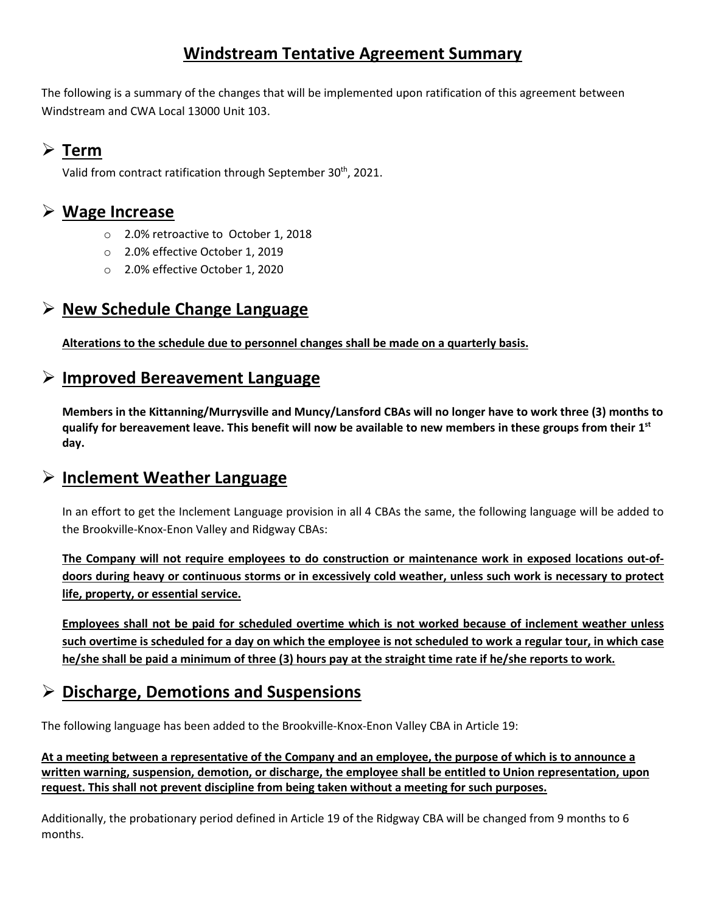# **Windstream Tentative Agreement Summary**

The following is a summary of the changes that will be implemented upon ratification of this agreement between Windstream and CWA Local 13000 Unit 103.

## **Term**

Valid from contract ratification through September 30<sup>th</sup>, 2021.

### **Wage Increase**

- o 2.0% retroactive to October 1, 2018
- o 2.0% effective October 1, 2019
- o 2.0% effective October 1, 2020

## **New Schedule Change Language**

**Alterations to the schedule due to personnel changes shall be made on a quarterly basis.** 

### **Improved Bereavement Language**

**Members in the Kittanning/Murrysville and Muncy/Lansford CBAs will no longer have to work three (3) months to qualify for bereavement leave. This benefit will now be available to new members in these groups from their 1st day.** 

### **Inclement Weather Language**

In an effort to get the Inclement Language provision in all 4 CBAs the same, the following language will be added to the Brookville-Knox-Enon Valley and Ridgway CBAs:

**The Company will not require employees to do construction or maintenance work in exposed locations out-ofdoors during heavy or continuous storms or in excessively cold weather, unless such work is necessary to protect life, property, or essential service.** 

**Employees shall not be paid for scheduled overtime which is not worked because of inclement weather unless such overtime is scheduled for a day on which the employee is not scheduled to work a regular tour, in which case he/she shall be paid a minimum of three (3) hours pay at the straight time rate if he/she reports to work.** 

## **Discharge, Demotions and Suspensions**

The following language has been added to the Brookville-Knox-Enon Valley CBA in Article 19:

**At a meeting between a representative of the Company and an employee, the purpose of which is to announce a written warning, suspension, demotion, or discharge, the employee shall be entitled to Union representation, upon request. This shall not prevent discipline from being taken without a meeting for such purposes.** 

Additionally, the probationary period defined in Article 19 of the Ridgway CBA will be changed from 9 months to 6 months.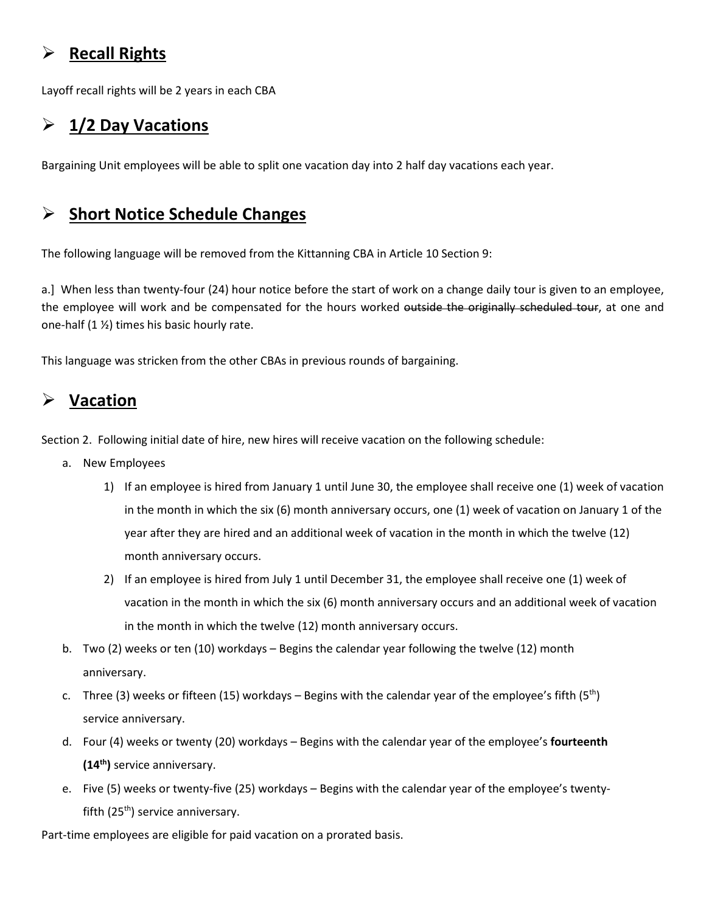# **Recall Rights**

Layoff recall rights will be 2 years in each CBA

# **1/2 Day Vacations**

Bargaining Unit employees will be able to split one vacation day into 2 half day vacations each year.

# **Short Notice Schedule Changes**

The following language will be removed from the Kittanning CBA in Article 10 Section 9:

a.] When less than twenty-four (24) hour notice before the start of work on a change daily tour is given to an employee, the employee will work and be compensated for the hours worked outside the originally scheduled tour, at one and one-half (1 ½) times his basic hourly rate.

This language was stricken from the other CBAs in previous rounds of bargaining.

# **Vacation**

Section 2. Following initial date of hire, new hires will receive vacation on the following schedule:

- a. New Employees
	- 1) If an employee is hired from January 1 until June 30, the employee shall receive one (1) week of vacation in the month in which the six (6) month anniversary occurs, one (1) week of vacation on January 1 of the year after they are hired and an additional week of vacation in the month in which the twelve (12) month anniversary occurs.
	- 2) If an employee is hired from July 1 until December 31, the employee shall receive one (1) week of vacation in the month in which the six (6) month anniversary occurs and an additional week of vacation in the month in which the twelve (12) month anniversary occurs.
- b. Two (2) weeks or ten (10) workdays Begins the calendar year following the twelve (12) month anniversary.
- c. Three (3) weeks or fifteen (15) workdays Begins with the calendar year of the employee's fifth (5<sup>th</sup>) service anniversary.
- d. Four (4) weeks or twenty (20) workdays Begins with the calendar year of the employee's **fourteenth (14th)** service anniversary.
- e. Five (5) weeks or twenty-five (25) workdays Begins with the calendar year of the employee's twentyfifth  $(25<sup>th</sup>)$  service anniversary.

Part-time employees are eligible for paid vacation on a prorated basis.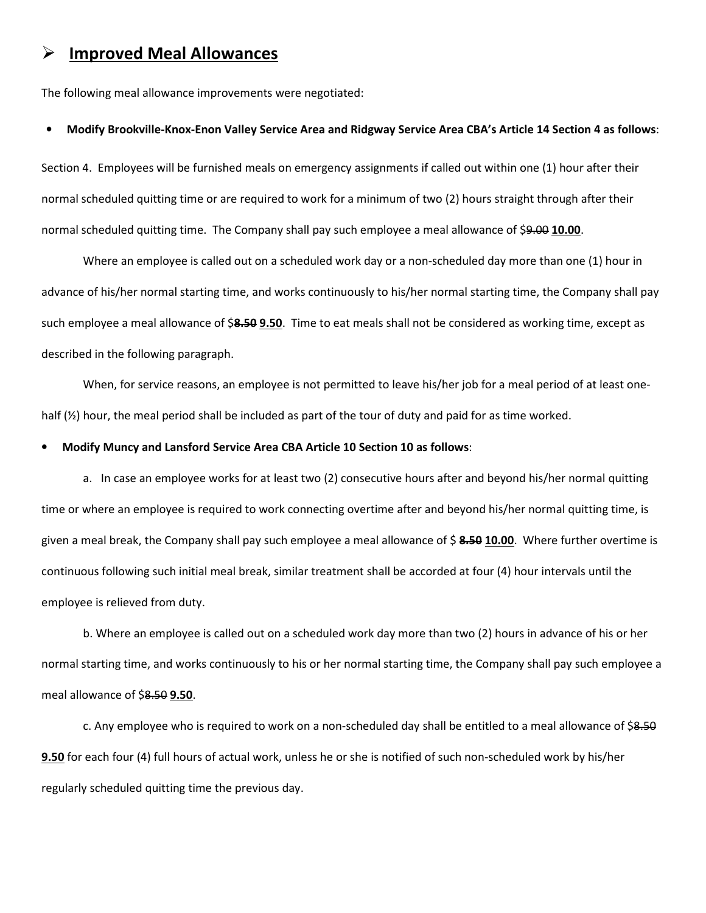### **Improved Meal Allowances**

The following meal allowance improvements were negotiated:

#### • **Modify Brookville-Knox-Enon Valley Service Area and Ridgway Service Area CBA's Article 14 Section 4 as follows**:

Section 4. Employees will be furnished meals on emergency assignments if called out within one (1) hour after their normal scheduled quitting time or are required to work for a minimum of two (2) hours straight through after their normal scheduled quitting time. The Company shall pay such employee a meal allowance of \$9.00 **10.00**.

 Where an employee is called out on a scheduled work day or a non-scheduled day more than one (1) hour in advance of his/her normal starting time, and works continuously to his/her normal starting time, the Company shall pay such employee a meal allowance of \$**8.50 9.50**. Time to eat meals shall not be considered as working time, except as described in the following paragraph.

 When, for service reasons, an employee is not permitted to leave his/her job for a meal period of at least onehalf (½) hour, the meal period shall be included as part of the tour of duty and paid for as time worked.

#### • **Modify Muncy and Lansford Service Area CBA Article 10 Section 10 as follows**:

 a. In case an employee works for at least two (2) consecutive hours after and beyond his/her normal quitting time or where an employee is required to work connecting overtime after and beyond his/her normal quitting time, is given a meal break, the Company shall pay such employee a meal allowance of \$ **8.50 10.00**. Where further overtime is continuous following such initial meal break, similar treatment shall be accorded at four (4) hour intervals until the employee is relieved from duty.

 b. Where an employee is called out on a scheduled work day more than two (2) hours in advance of his or her normal starting time, and works continuously to his or her normal starting time, the Company shall pay such employee a meal allowance of \$8.50 **9.50**.

c. Any employee who is required to work on a non-scheduled day shall be entitled to a meal allowance of \$8.50 **9.50** for each four (4) full hours of actual work, unless he or she is notified of such non-scheduled work by his/her regularly scheduled quitting time the previous day.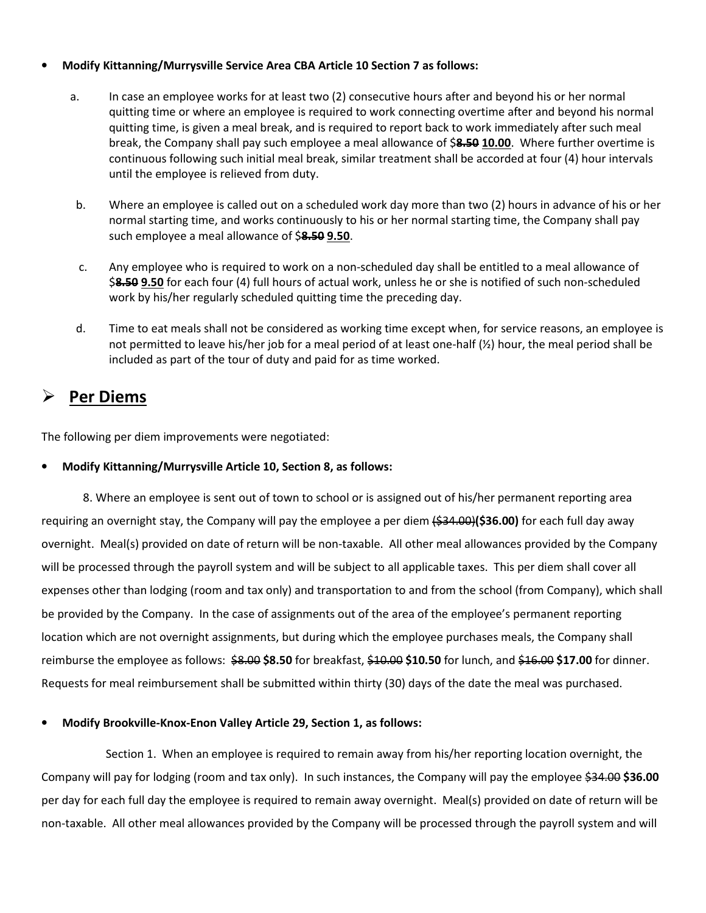#### • **Modify Kittanning/Murrysville Service Area CBA Article 10 Section 7 as follows:**

- a. In case an employee works for at least two (2) consecutive hours after and beyond his or her normal quitting time or where an employee is required to work connecting overtime after and beyond his normal quitting time, is given a meal break, and is required to report back to work immediately after such meal break, the Company shall pay such employee a meal allowance of \$**8.50 10.00**. Where further overtime is continuous following such initial meal break, similar treatment shall be accorded at four (4) hour intervals until the employee is relieved from duty.
- b. Where an employee is called out on a scheduled work day more than two (2) hours in advance of his or her normal starting time, and works continuously to his or her normal starting time, the Company shall pay such employee a meal allowance of \$**8.50 9.50**.
- c. Any employee who is required to work on a non-scheduled day shall be entitled to a meal allowance of \$**8.50 9.50** for each four (4) full hours of actual work, unless he or she is notified of such non-scheduled work by his/her regularly scheduled quitting time the preceding day.
- d. Time to eat meals shall not be considered as working time except when, for service reasons, an employee is not permitted to leave his/her job for a meal period of at least one-half (½) hour, the meal period shall be included as part of the tour of duty and paid for as time worked.

## **Per Diems**

The following per diem improvements were negotiated:

#### • **Modify Kittanning/Murrysville Article 10, Section 8, as follows:**

8. Where an employee is sent out of town to school or is assigned out of his/her permanent reporting area requiring an overnight stay, the Company will pay the employee a per diem (\$34.00)**(\$36.00)** for each full day away overnight. Meal(s) provided on date of return will be non-taxable. All other meal allowances provided by the Company will be processed through the payroll system and will be subject to all applicable taxes. This per diem shall cover all expenses other than lodging (room and tax only) and transportation to and from the school (from Company), which shall be provided by the Company. In the case of assignments out of the area of the employee's permanent reporting location which are not overnight assignments, but during which the employee purchases meals, the Company shall reimburse the employee as follows: \$8.00 **\$8.50** for breakfast, \$10.00 **\$10.50** for lunch, and \$16.00 **\$17.00** for dinner. Requests for meal reimbursement shall be submitted within thirty (30) days of the date the meal was purchased.

#### • **Modify Brookville-Knox-Enon Valley Article 29, Section 1, as follows:**

Section 1. When an employee is required to remain away from his/her reporting location overnight, the Company will pay for lodging (room and tax only). In such instances, the Company will pay the employee \$34.00 **\$36.00** per day for each full day the employee is required to remain away overnight. Meal(s) provided on date of return will be non-taxable. All other meal allowances provided by the Company will be processed through the payroll system and will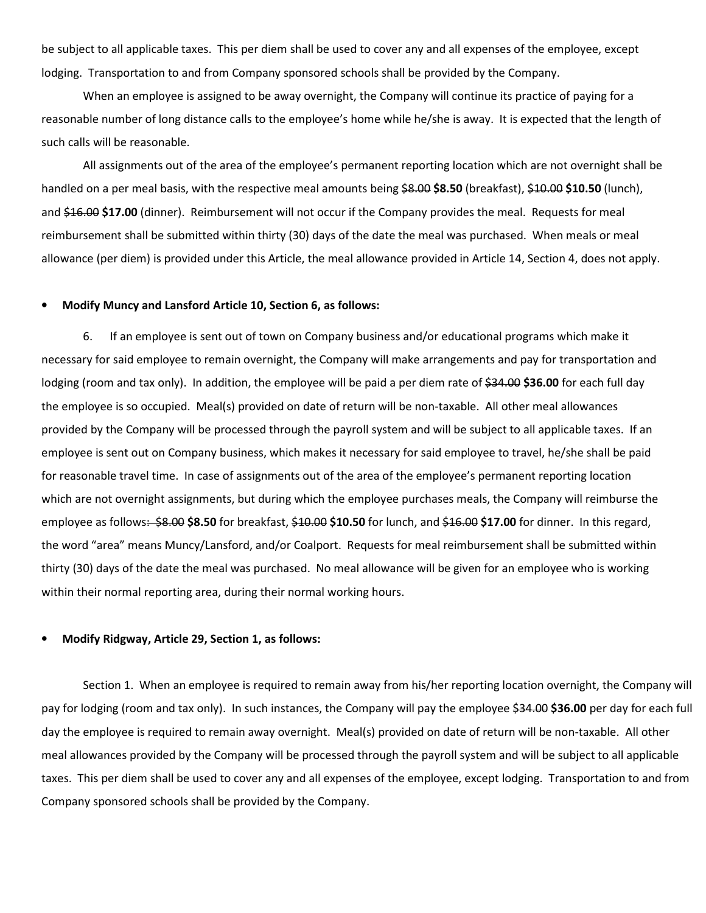be subject to all applicable taxes. This per diem shall be used to cover any and all expenses of the employee, except lodging. Transportation to and from Company sponsored schools shall be provided by the Company.

When an employee is assigned to be away overnight, the Company will continue its practice of paying for a reasonable number of long distance calls to the employee's home while he/she is away. It is expected that the length of such calls will be reasonable.

All assignments out of the area of the employee's permanent reporting location which are not overnight shall be handled on a per meal basis, with the respective meal amounts being \$8.00 **\$8.50** (breakfast), \$10.00 **\$10.50** (lunch), and \$16.00 **\$17.00** (dinner). Reimbursement will not occur if the Company provides the meal. Requests for meal reimbursement shall be submitted within thirty (30) days of the date the meal was purchased.When meals or meal allowance (per diem) is provided under this Article, the meal allowance provided in Article 14, Section 4, does not apply.

#### • **Modify Muncy and Lansford Article 10, Section 6, as follows:**

6. If an employee is sent out of town on Company business and/or educational programs which make it necessary for said employee to remain overnight, the Company will make arrangements and pay for transportation and lodging (room and tax only). In addition, the employee will be paid a per diem rate of \$34.00 \$36.00 for each full day the employee is so occupied. Meal(s) provided on date of return will be non-taxable. All other meal allowances provided by the Company will be processed through the payroll system and will be subject to all applicable taxes. If an employee is sent out on Company business, which makes it necessary for said employee to travel, he/she shall be paid for reasonable travel time. In case of assignments out of the area of the employee's permanent reporting location which are not overnight assignments, but during which the employee purchases meals, the Company will reimburse the employee as follows: \$8.00 **\$8.50** for breakfast, \$10.00 **\$10.50** for lunch, and \$16.00 **\$17.00** for dinner. In this regard, the word "area" means Muncy/Lansford, and/or Coalport. Requests for meal reimbursement shall be submitted within thirty (30) days of the date the meal was purchased. No meal allowance will be given for an employee who is working within their normal reporting area, during their normal working hours.

#### • **Modify Ridgway, Article 29, Section 1, as follows:**

Section 1. When an employee is required to remain away from his/her reporting location overnight, the Company will pay for lodging (room and tax only). In such instances, the Company will pay the employee \$34.00 **\$36.00** per day for each full day the employee is required to remain away overnight. Meal(s) provided on date of return will be non-taxable. All other meal allowances provided by the Company will be processed through the payroll system and will be subject to all applicable taxes. This per diem shall be used to cover any and all expenses of the employee, except lodging. Transportation to and from Company sponsored schools shall be provided by the Company.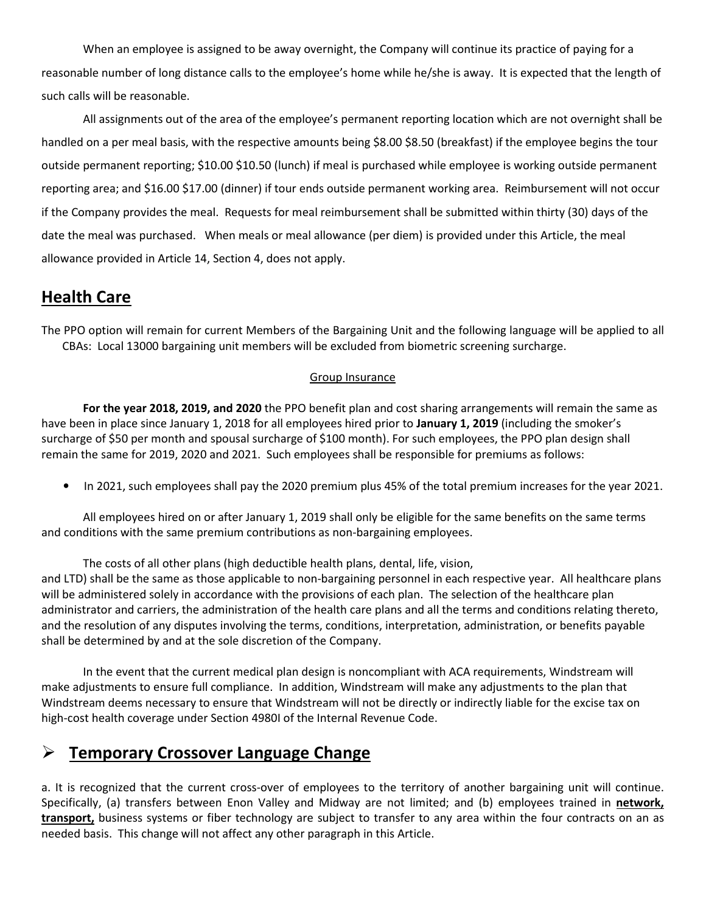When an employee is assigned to be away overnight, the Company will continue its practice of paying for a reasonable number of long distance calls to the employee's home while he/she is away. It is expected that the length of such calls will be reasonable.

 All assignments out of the area of the employee's permanent reporting location which are not overnight shall be handled on a per meal basis, with the respective amounts being \$8.00 \$8.50 (breakfast) if the employee begins the tour outside permanent reporting; \$10.00 \$10.50 (lunch) if meal is purchased while employee is working outside permanent reporting area; and \$16.00 \$17.00 (dinner) if tour ends outside permanent working area. Reimbursement will not occur if the Company provides the meal. Requests for meal reimbursement shall be submitted within thirty (30) days of the date the meal was purchased. When meals or meal allowance (per diem) is provided under this Article, the meal allowance provided in Article 14, Section 4, does not apply.

### **Health Care**

The PPO option will remain for current Members of the Bargaining Unit and the following language will be applied to all CBAs: Local 13000 bargaining unit members will be excluded from biometric screening surcharge.

#### Group Insurance

**For the year 2018, 2019, and 2020** the PPO benefit plan and cost sharing arrangements will remain the same as have been in place since January 1, 2018 for all employees hired prior to **January 1, 2019** (including the smoker's surcharge of \$50 per month and spousal surcharge of \$100 month). For such employees, the PPO plan design shall remain the same for 2019, 2020 and 2021. Such employees shall be responsible for premiums as follows:

• In 2021, such employees shall pay the 2020 premium plus 45% of the total premium increases for the year 2021.

All employees hired on or after January 1, 2019 shall only be eligible for the same benefits on the same terms and conditions with the same premium contributions as non-bargaining employees.

 The costs of all other plans (high deductible health plans, dental, life, vision, and LTD) shall be the same as those applicable to non-bargaining personnel in each respective year. All healthcare plans will be administered solely in accordance with the provisions of each plan. The selection of the healthcare plan

administrator and carriers, the administration of the health care plans and all the terms and conditions relating thereto, and the resolution of any disputes involving the terms, conditions, interpretation, administration, or benefits payable shall be determined by and at the sole discretion of the Company.

 In the event that the current medical plan design is noncompliant with ACA requirements, Windstream will make adjustments to ensure full compliance. In addition, Windstream will make any adjustments to the plan that Windstream deems necessary to ensure that Windstream will not be directly or indirectly liable for the excise tax on high-cost health coverage under Section 4980I of the Internal Revenue Code.

### **Temporary Crossover Language Change**

a. It is recognized that the current cross-over of employees to the territory of another bargaining unit will continue. Specifically, (a) transfers between Enon Valley and Midway are not limited; and (b) employees trained in **network, transport,** business systems or fiber technology are subject to transfer to any area within the four contracts on an as needed basis. This change will not affect any other paragraph in this Article.